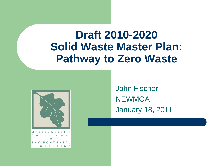### **Draft 2010-2020 Solid Waste Master Plan: Pathway to Zero Waste**



John Fischer **NEWMOA** January 18, 2011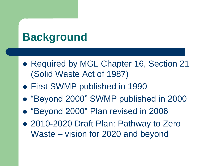## **Background**

- Required by MGL Chapter 16, Section 21 (Solid Waste Act of 1987)
- First SWMP published in 1990
- "Beyond 2000" SWMP published in 2000
- "Beyond 2000" Plan revised in 2006
- 2010-2020 Draft Plan: Pathway to Zero Waste – vision for 2020 and beyond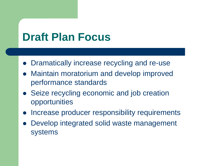## **Draft Plan Focus**

- Dramatically increase recycling and re-use
- Maintain moratorium and develop improved performance standards
- Seize recycling economic and job creation opportunities
- Increase producer responsibility requirements
- Develop integrated solid waste management systems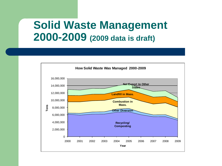#### **Solid Waste Management 2000-2009 (2009 data is draft)**

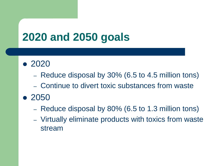## **2020 and 2050 goals**

- 2020
	- Reduce disposal by 30% (6.5 to 4.5 million tons)
	- Continue to divert toxic substances from waste
- 2050
	- Reduce disposal by 80% (6.5 to 1.3 million tons)
	- Virtually eliminate products with toxics from waste stream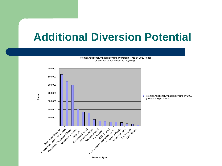### **Additional Diversion Potential**

Potential Additional Annual Recycling by Material Type by 2020 (tons) (in addition to 2008 baseline recycling)

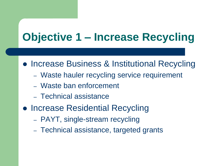- Increase Business & Institutional Recycling
	- Waste hauler recycling service requirement
	- Waste ban enforcement
	- Technical assistance
- Increase Residential Recycling
	- PAYT, single-stream recycling
	- Technical assistance, targeted grants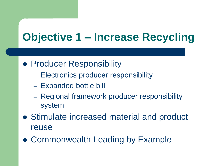- **Producer Responsibility** 
	- Electronics producer responsibility
	- Expanded bottle bill
	- Regional framework producer responsibility system
- Stimulate increased material and product reuse
- Commonwealth Leading by Example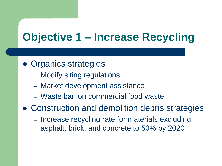- Organics strategies
	- Modify siting regulations
	- Market development assistance
	- Waste ban on commercial food waste
- Construction and demolition debris strategies
	- Increase recycling rate for materials excluding asphalt, brick, and concrete to 50% by 2020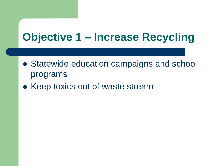- Statewide education campaigns and school programs
- Keep toxics out of waste stream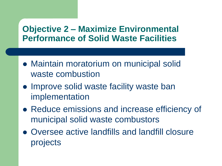#### **Objective 2 – Maximize Environmental Performance of Solid Waste Facilities**

- Maintain moratorium on municipal solid waste combustion
- Improve solid waste facility waste ban implementation
- Reduce emissions and increase efficiency of municipal solid waste combustors
- Oversee active landfills and landfill closure projects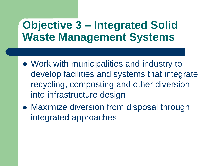## **Objective 3 – Integrated Solid Waste Management Systems**

- Work with municipalities and industry to develop facilities and systems that integrate recycling, composting and other diversion into infrastructure design
- Maximize diversion from disposal through integrated approaches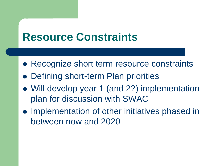### **Resource Constraints**

- Recognize short term resource constraints
- Defining short-term Plan priorities
- Will develop year 1 (and 2?) implementation plan for discussion with SWAC
- Implementation of other initiatives phased in between now and 2020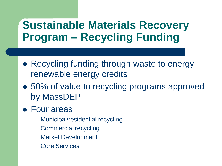## **Sustainable Materials Recovery Program – Recycling Funding**

- Recycling funding through waste to energy renewable energy credits
- 50% of value to recycling programs approved by MassDEP
- Four areas
	- Municipal/residential recycling
	- Commercial recycling
	- Market Development
	- Core Services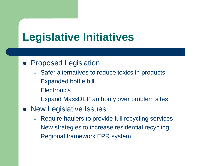## **Legislative Initiatives**

#### • Proposed Legislation

- Safer alternatives to reduce toxics in products
- Expanded bottle bill
- Electronics
- Expand MassDEP authority over problem sites
- New Legislative Issues
	- Require haulers to provide full recycling services
	- New strategies to increase residential recycling
	- Regional framework EPR system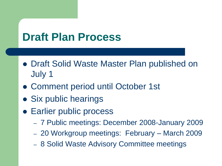## **Draft Plan Process**

- Draft Solid Waste Master Plan published on July 1
- Comment period until October 1st
- Six public hearings
- **Earlier public process** 
	- 7 Public meetings: December 2008-January 2009
	- 20 Workgroup meetings: February March 2009
	- 8 Solid Waste Advisory Committee meetings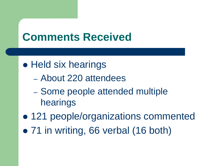## **Comments Received**

#### • Held six hearings

- About 220 attendees
- Some people attended multiple hearings
- 121 people/organizations commented
- 71 in writing, 66 verbal (16 both)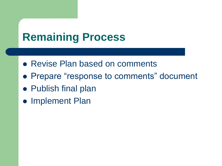## **Remaining Process**

- Revise Plan based on comments
- Prepare "response to comments" document
- Publish final plan
- Implement Plan